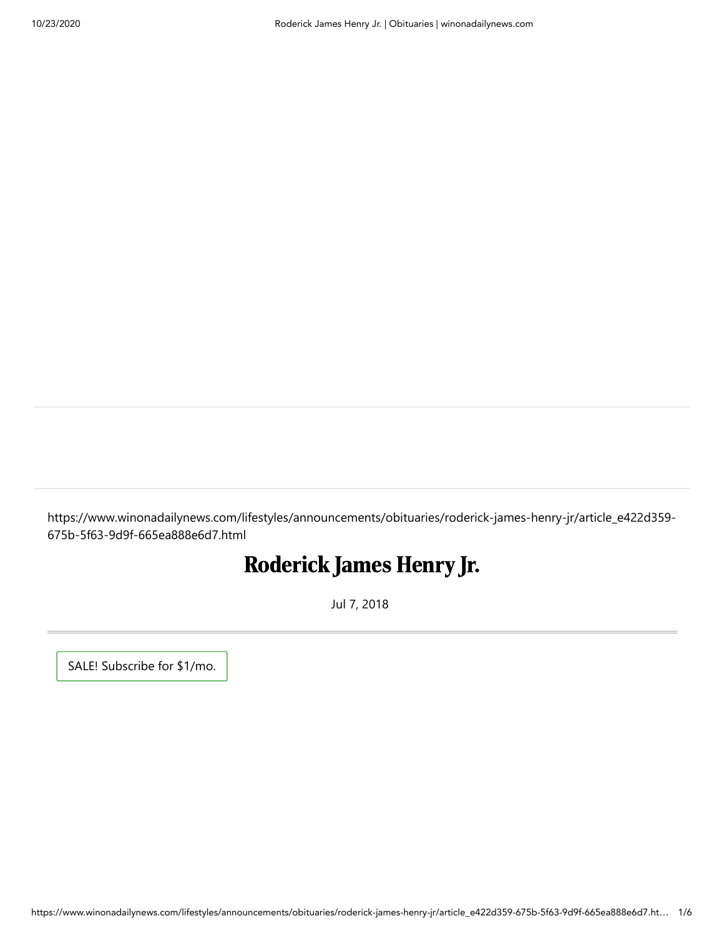https://www.winonadailynews.com/lifestyles/announcements/obituaries/roderick-james-henry-jr/article\_e422d359- 675b-5f63-9d9f-665ea888e6d7.html

## Roderick James Henry Jr.

Jul 7, 2018

[SALE! Subscribe for \\$1/mo.](https://subscriberservices.lee.net/subscriberservices/Content/PaymentPage.aspx?Domain=winonadailynews.com&SubscriberLevel=DOP&Return=https%3A%2F%2Fwww.winonadailynews.com%2Flifestyles%2Fannouncements%2Fobituaries%2Froderick-james-henry-jr%2Farticle_e422d359-675b-5f63-9d9f-665ea888e6d7.html#tracking-source=green-subscribe-button&ir=true)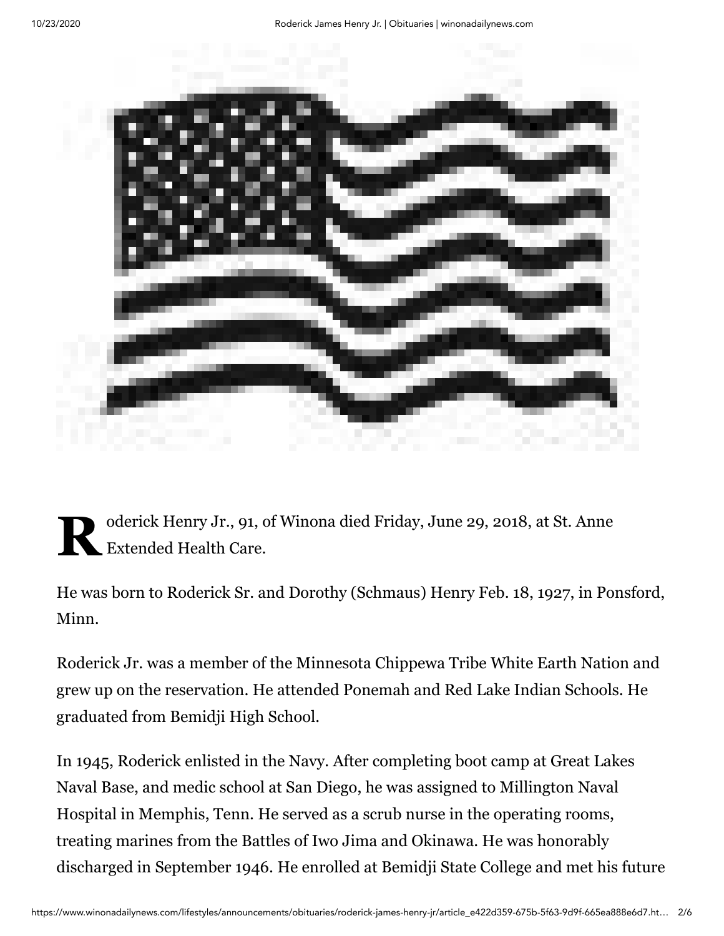

 $\mathbf{R}^{\circ}_{E}$ oderick Henry Jr., 91, of Winona died Friday, June 29, 2018, at St. Anne Extended Health Care.

He was born to Roderick Sr. and Dorothy (Schmaus) Henry Feb. 18, 1927, in Ponsford, Minn.

Roderick Jr. was a member of the Minnesota Chippewa Tribe White Earth Nation and grew up on the reservation. He attended Ponemah and Red Lake Indian Schools. He graduated from Bemidji High School.

In 1945, Roderick enlisted in the Navy. After completing boot camp at Great Lakes Naval Base, and medic school at San Diego, he was assigned to Millington Naval Hospital in Memphis, Tenn. He served as a scrub nurse in the operating rooms, treating marines from the Battles of Iwo Jima and Okinawa. He was honorably discharged in September 1946. He enrolled at Bemidji State College and met his future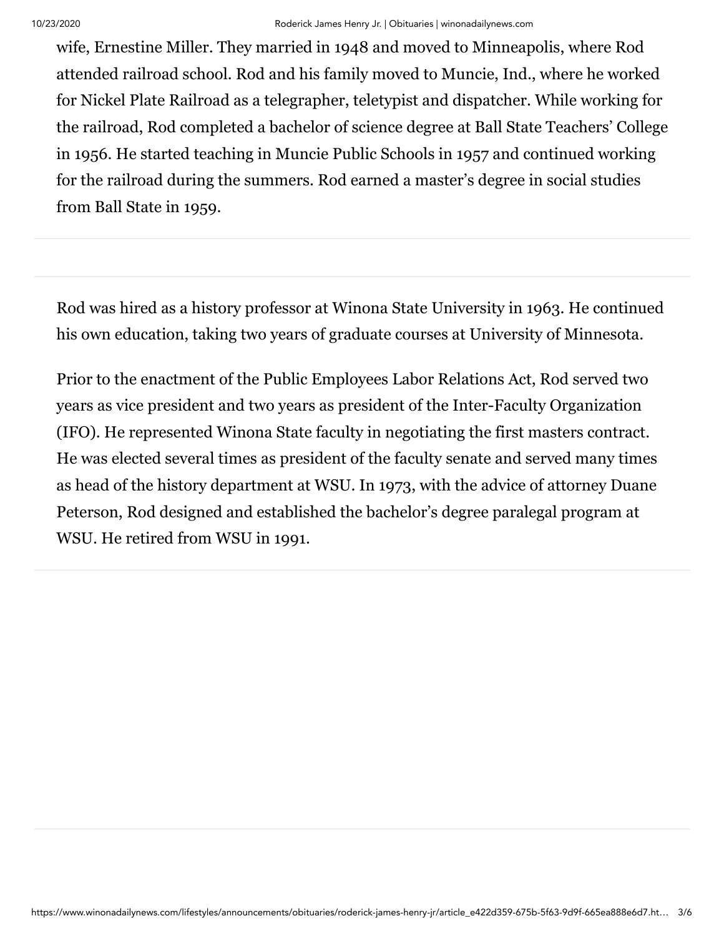wife, Ernestine Miller. They married in 1948 and moved to Minneapolis, where Rod attended railroad school. Rod and his family moved to Muncie, Ind., where he worked for Nickel Plate Railroad as a telegrapher, teletypist and dispatcher. While working for the railroad, Rod completed a bachelor of science degree at Ball State Teachers' College in 1956. He started teaching in Muncie Public Schools in 1957 and continued working for the railroad during the summers. Rod earned a master's degree in social studies from Ball State in 1959.

Rod was hired as a history professor at Winona State University in 1963. He continued his own education, taking two years of graduate courses at University of Minnesota.

Prior to the enactment of the Public Employees Labor Relations Act, Rod served two years as vice president and two years as president of the Inter-Faculty Organization (IFO). He represented Winona State faculty in negotiating the first masters contract. He was elected several times as president of the faculty senate and served many times as head of the history department at WSU. In 1973, with the advice of attorney Duane Peterson, Rod designed and established the bachelor's degree paralegal program at WSU. He retired from WSU in 1991.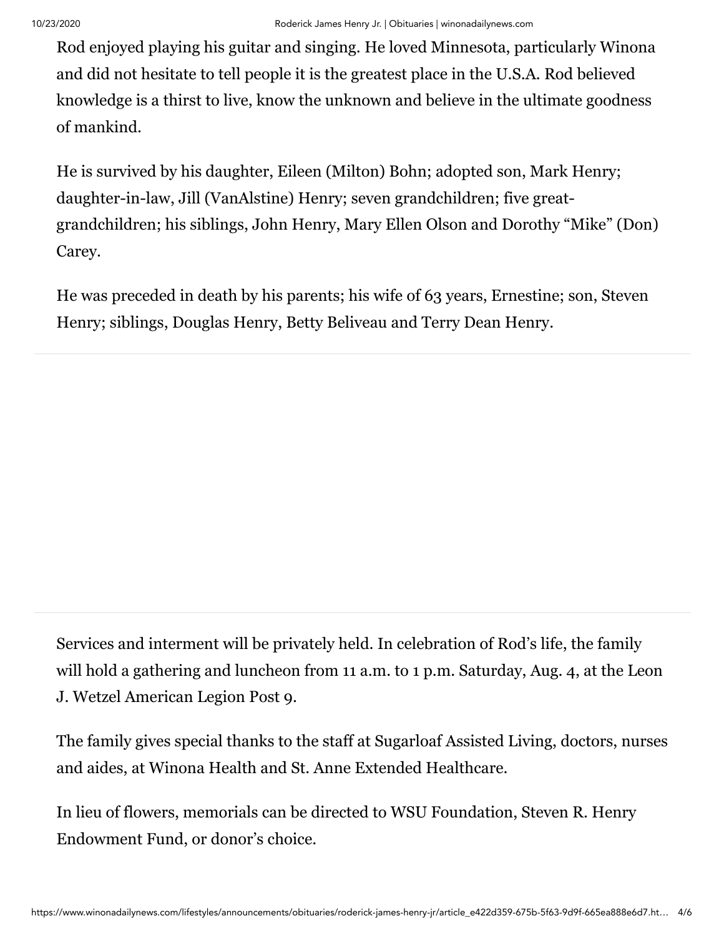Rod enjoyed playing his guitar and singing. He loved Minnesota, particularly Winona and did not hesitate to tell people it is the greatest place in the U.S.A. Rod believed knowledge is a thirst to live, know the unknown and believe in the ultimate goodness of mankind.

He is survived by his daughter, Eileen (Milton) Bohn; adopted son, Mark Henry; daughter-in-law, Jill (VanAlstine) Henry; seven grandchildren; five greatgrandchildren; his siblings, John Henry, Mary Ellen Olson and Dorothy "Mike" (Don) Carey.

He was preceded in death by his parents; his wife of 63 years, Ernestine; son, Steven Henry; siblings, Douglas Henry, Betty Beliveau and Terry Dean Henry.

Services and interment will be privately held. In celebration of Rod's life, the family will hold a gathering and luncheon from 11 a.m. to 1 p.m. Saturday, Aug. 4, at the Leon J. Wetzel American Legion Post 9.

The family gives special thanks to the staff at Sugarloaf Assisted Living, doctors, nurses and aides, at Winona Health and St. Anne Extended Healthcare.

In lieu of flowers, memorials can be directed to WSU Foundation, Steven R. Henry Endowment Fund, or donor's choice.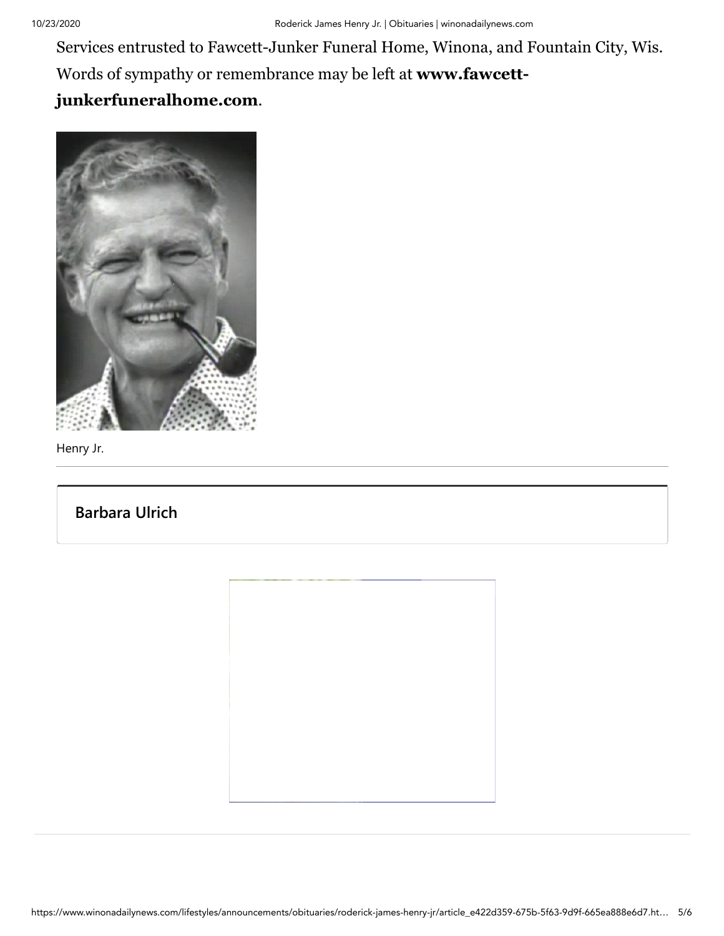Services entrusted to Fawcett-Junker Funeral Home, Winona, and Fountain City, Wis. [Words of sympathy or remembrance may be left at](http://www.fawcett-junkerfuneralhome.com/) **www.fawcettjunkerfuneralhome.com**.



Henry Jr.

## **[Barbara Ulrich](https://www.winonadailynews.com/users/profile/Barbara%20Ulrich)**